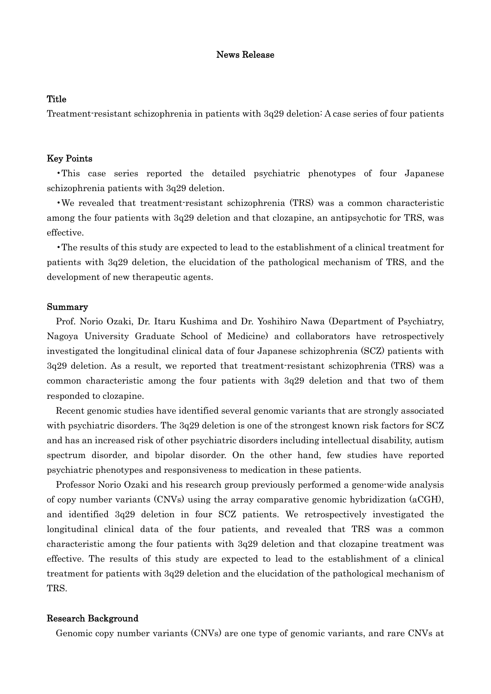# News Release

# **Title**

Treatment-resistant schizophrenia in patients with 3q29 deletion: A case series of four patients

### Key Points

•This case series reported the detailed psychiatric phenotypes of four Japanese schizophrenia patients with 3q29 deletion.

•We revealed that treatment-resistant schizophrenia (TRS) was a common characteristic among the four patients with 3q29 deletion and that clozapine, an antipsychotic for TRS, was effective.

•The results of this study are expected to lead to the establishment of a clinical treatment for patients with 3q29 deletion, the elucidation of the pathological mechanism of TRS, and the development of new therapeutic agents.

#### Summary

Prof. Norio Ozaki, Dr. Itaru Kushima and Dr. Yoshihiro Nawa (Department of Psychiatry, Nagoya University Graduate School of Medicine) and collaborators have retrospectively investigated the longitudinal clinical data of four Japanese schizophrenia (SCZ) patients with 3q29 deletion. As a result, we reported that treatment-resistant schizophrenia (TRS) was a common characteristic among the four patients with 3q29 deletion and that two of them responded to clozapine.

Recent genomic studies have identified several genomic variants that are strongly associated with psychiatric disorders. The 3q29 deletion is one of the strongest known risk factors for SCZ and has an increased risk of other psychiatric disorders including intellectual disability, autism spectrum disorder, and bipolar disorder. On the other hand, few studies have reported psychiatric phenotypes and responsiveness to medication in these patients.

Professor Norio Ozaki and his research group previously performed a genome-wide analysis of copy number variants (CNVs) using the array comparative genomic hybridization (aCGH), and identified 3q29 deletion in four SCZ patients. We retrospectively investigated the longitudinal clinical data of the four patients, and revealed that TRS was a common characteristic among the four patients with 3q29 deletion and that clozapine treatment was effective. The results of this study are expected to lead to the establishment of a clinical treatment for patients with 3q29 deletion and the elucidation of the pathological mechanism of TRS.

#### Research Background

Genomic copy number variants (CNVs) are one type of genomic variants, and rare CNVs at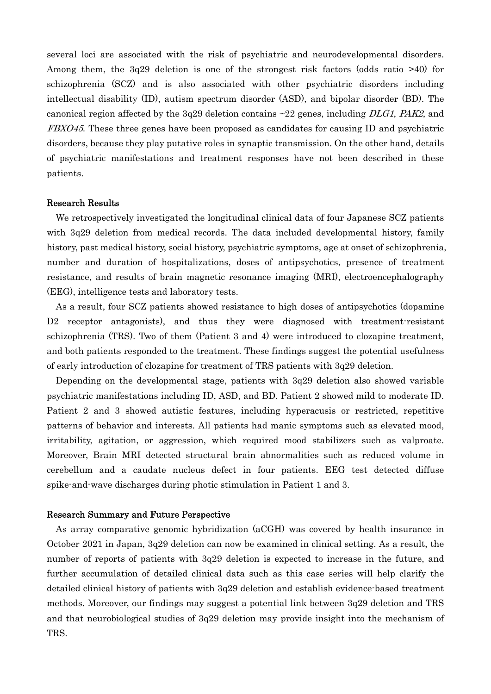several loci are associated with the risk of psychiatric and neurodevelopmental disorders. Among them, the 3q29 deletion is one of the strongest risk factors (odds ratio >40) for schizophrenia (SCZ) and is also associated with other psychiatric disorders including intellectual disability (ID), autism spectrum disorder (ASD), and bipolar disorder (BD). The canonical region affected by the 3q29 deletion contains  $\sim$ 22 genes, including *DLG1*, *PAK2*, and FBXO45. These three genes have been proposed as candidates for causing ID and psychiatric disorders, because they play putative roles in synaptic transmission. On the other hand, details of psychiatric manifestations and treatment responses have not been described in these patients.

#### Research Results

We retrospectively investigated the longitudinal clinical data of four Japanese SCZ patients with 3q29 deletion from medical records. The data included developmental history, family history, past medical history, social history, psychiatric symptoms, age at onset of schizophrenia, number and duration of hospitalizations, doses of antipsychotics, presence of treatment resistance, and results of brain magnetic resonance imaging (MRI), electroencephalography (EEG), intelligence tests and laboratory tests.

As a result, four SCZ patients showed resistance to high doses of antipsychotics (dopamine D<sub>2</sub> receptor antagonists, and thus they were diagnosed with treatment-resistant schizophrenia (TRS). Two of them (Patient 3 and 4) were introduced to clozapine treatment, and both patients responded to the treatment. These findings suggest the potential usefulness of early introduction of clozapine for treatment of TRS patients with 3q29 deletion.

Depending on the developmental stage, patients with 3q29 deletion also showed variable psychiatric manifestations including ID, ASD, and BD. Patient 2 showed mild to moderate ID. Patient 2 and 3 showed autistic features, including hyperacusis or restricted, repetitive patterns of behavior and interests. All patients had manic symptoms such as elevated mood, irritability, agitation, or aggression, which required mood stabilizers such as valproate. Moreover, Brain MRI detected structural brain abnormalities such as reduced volume in cerebellum and a caudate nucleus defect in four patients. EEG test detected diffuse spike-and-wave discharges during photic stimulation in Patient 1 and 3.

## Research Summary and Future Perspective

As array comparative genomic hybridization (aCGH) was covered by health insurance in October 2021 in Japan, 3q29 deletion can now be examined in clinical setting. As a result, the number of reports of patients with 3q29 deletion is expected to increase in the future, and further accumulation of detailed clinical data such as this case series will help clarify the detailed clinical history of patients with 3q29 deletion and establish evidence-based treatment methods. Moreover, our findings may suggest a potential link between 3q29 deletion and TRS and that neurobiological studies of 3q29 deletion may provide insight into the mechanism of TRS.